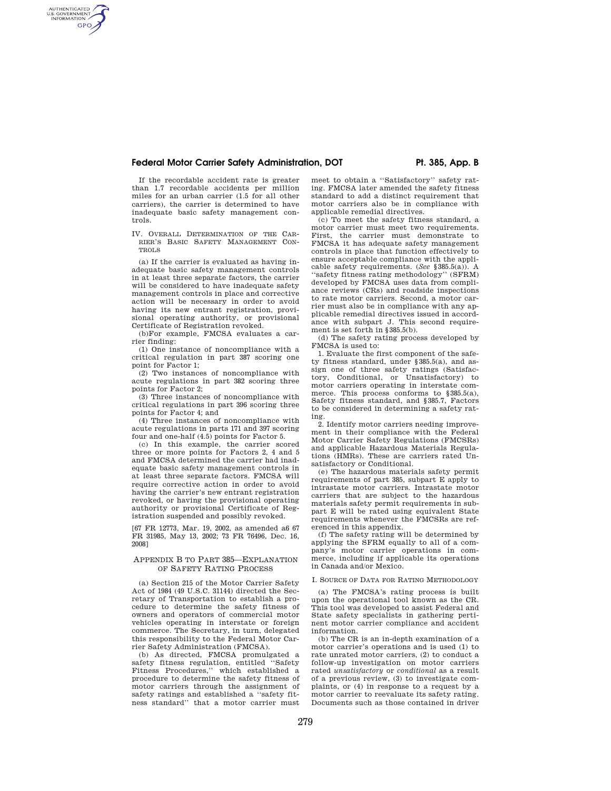# Federal Motor Carrier Safety Administration, DOT **Pr. 385, App. B**

If the recordable accident rate is greater than 1.7 recordable accidents per million miles for an urban carrier (1.5 for all other carriers), the carrier is determined to have inadequate basic safety management controls.

AUTHENTICATED<br>U.S. GOVERNMENT<br>INFORMATION **GPO** 

> IV. OVERALL DETERMINATION OF THE CAR-RIER'S BASIC SAFETY MANAGEMENT CON-TROLS

(a) If the carrier is evaluated as having inadequate basic safety management controls in at least three separate factors, the carrier will be considered to have inadequate safety management controls in place and corrective action will be necessary in order to avoid having its new entrant registration, provisional operating authority, or provisional Certificate of Registration revoked.

(b)For example, FMCSA evaluates a carrier finding:

(1) One instance of noncompliance with a critical regulation in part 387 scoring one point for Factor 1;

(2) Two instances of noncompliance with acute regulations in part 382 scoring three points for Factor 2;

(3) Three instances of noncompliance with critical regulations in part 396 scoring three points for Factor 4; and

(4) Three instances of noncompliance with acute regulations in parts 171 and 397 scoring four and one-half (4.5) points for Factor 5.

(c) In this example, the carrier scored three or more points for Factors 2, 4 and 5 and FMCSA determined the carrier had inadequate basic safety management controls in at least three separate factors. FMCSA will require corrective action in order to avoid having the carrier's new entrant registration revoked, or having the provisional operating authority or provisional Certificate of Registration suspended and possibly revoked.

[67 FR 12773, Mar. 19, 2002, as amended a6 67 FR 31985, May 13, 2002; 73 FR 76496, Dec. 16, 2008]

## APPENDIX B TO PART 385—EXPLANATION OF SAFETY RATING PROCESS

(a) Section 215 of the Motor Carrier Safety Act of 1984 (49 U.S.C. 31144) directed the Secretary of Transportation to establish a procedure to determine the safety fitness of owners and operators of commercial motor vehicles operating in interstate or foreign commerce. The Secretary, in turn, delegated this responsibility to the Federal Motor Carrier Safety Administration (FMCSA).

(b) As directed, FMCSA promulgated a safety fitness regulation, entitled "Safety Fitness Procedures,'' which established a procedure to determine the safety fitness of motor carriers through the assignment of safety ratings and established a ''safety fitness standard'' that a motor carrier must

meet to obtain a ''Satisfactory'' safety rating. FMCSA later amended the safety fitness standard to add a distinct requirement that motor carriers also be in compliance with applicable remedial directives.

(c) To meet the safety fitness standard, a motor carrier must meet two requirements. First, the carrier must demonstrate to FMCSA it has adequate safety management controls in place that function effectively to ensure acceptable compliance with the applicable safety requirements. (*See* §385.5(a)). A 'safety fitness rating methodology'' (SFRM) developed by FMCSA uses data from compliance reviews (CRs) and roadside inspections to rate motor carriers. Second, a motor carrier must also be in compliance with any applicable remedial directives issued in accordance with subpart J. This second requirement is set forth in §385.5(b).

(d) The safety rating process developed by FMCSA is used to:

1. Evaluate the first component of the safety fitness standard, under §385.5(a), and assign one of three safety ratings (Satisfactory, Conditional, or Unsatisfactory) to motor carriers operating in interstate commerce. This process conforms to §385.5(a), Safety fitness standard, and §385.7, Factors to be considered in determining a safety rating.

2. Identify motor carriers needing improvement in their compliance with the Federal Motor Carrier Safety Regulations (FMCSRs) and applicable Hazardous Materials Regulations (HMRs). These are carriers rated Unsatisfactory or Conditional.

(e) The hazardous materials safety permit requirements of part 385, subpart E apply to intrastate motor carriers. Intrastate motor carriers that are subject to the hazardous materials safety permit requirements in subpart E will be rated using equivalent State requirements whenever the FMCSRs are referenced in this appendix.

(f) The safety rating will be determined by applying the SFRM equally to all of a company's motor carrier operations in commerce, including if applicable its operations in Canada and/or Mexico.

## I. SOURCE OF DATA FOR RATING METHODOLOGY

(a) The FMCSA's rating process is built upon the operational tool known as the CR. This tool was developed to assist Federal and State safety specialists in gathering pertinent motor carrier compliance and accident information.

(b) The CR is an in-depth examination of a motor carrier's operations and is used (1) to rate unrated motor carriers, (2) to conduct a follow-up investigation on motor carriers rated *unsatisfactory* or *conditional* as a result of a previous review, (3) to investigate complaints, or (4) in response to a request by a motor carrier to reevaluate its safety rating. Documents such as those contained in driver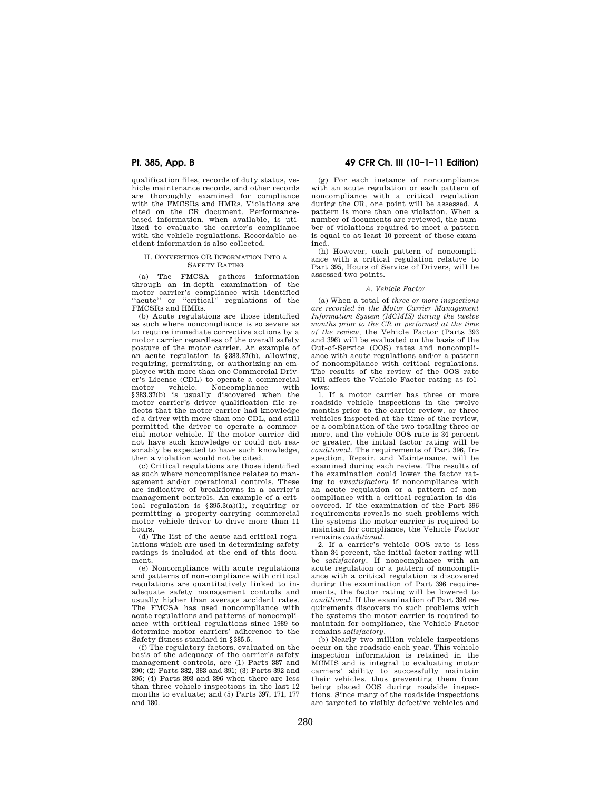qualification files, records of duty status, vehicle maintenance records, and other records are thoroughly examined for compliance with the FMCSRs and HMRs. Violations are cited on the CR document. Performancebased information, when available, is utilized to evaluate the carrier's compliance with the vehicle regulations. Recordable accident information is also collected.

## II. CONVERTING CR INFORMATION INTO A SAFETY RATING

(a) The FMCSA gathers information through an in-depth examination of the motor carrier's compliance with identified "acute" or "critical" regulations of the FMCSRs and HMRs.

(b) Acute regulations are those identified as such where noncompliance is so severe as to require immediate corrective actions by a motor carrier regardless of the overall safety posture of the motor carrier. An example of an acute regulation is §383.37(b), allowing, requiring, permitting, or authorizing an employee with more than one Commercial Driver's License (CDL) to operate a commercial motor vehicle. Noncompliance with §383.37(b) is usually discovered when the motor carrier's driver qualification file reflects that the motor carrier had knowledge of a driver with more than one CDL, and still permitted the driver to operate a commercial motor vehicle. If the motor carrier did not have such knowledge or could not reasonably be expected to have such knowledge, then a violation would not be cited.

(c) Critical regulations are those identified as such where noncompliance relates to management and/or operational controls. These are indicative of breakdowns in a carrier's management controls. An example of a critical regulation is §395.3(a)(1), requiring or permitting a property-carrying commercial motor vehicle driver to drive more than 11 hours.

(d) The list of the acute and critical regulations which are used in determining safety ratings is included at the end of this document.

(e) Noncompliance with acute regulations and patterns of non-compliance with critical regulations are quantitatively linked to inadequate safety management controls and usually higher than average accident rates. The FMCSA has used noncompliance with acute regulations and patterns of noncompliance with critical regulations since 1989 to determine motor carriers' adherence to the Safety fitness standard in §385.5.

(f) The regulatory factors, evaluated on the basis of the adequacy of the carrier's safety management controls, are (1) Parts 387 and 390; (2) Parts 382, 383 and 391; (3) Parts 392 and 395; (4) Parts 393 and 396 when there are less than three vehicle inspections in the last 12 months to evaluate; and (5) Parts 397, 171, 177 and 180.

# **Pt. 385, App. B 49 CFR Ch. III (10–1–11 Edition)**

(g) For each instance of noncompliance with an acute regulation or each pattern of noncompliance with a critical regulation during the CR, one point will be assessed. A pattern is more than one violation. When a number of documents are reviewed, the number of violations required to meet a pattern is equal to at least 10 percent of those examined.

(h) However, each pattern of noncompliance with a critical regulation relative to Part 395, Hours of Service of Drivers, will be assessed two points.

## *A. Vehicle Factor*

(a) When a total of *three or more inspections are recorded in the Motor Carrier Management Information System (MCMIS) during the twelve months prior to the CR or performed at the time of the review,* the Vehicle Factor (Parts 393 and 396) will be evaluated on the basis of the Out-of-Service (OOS) rates and noncompliance with acute regulations and/or a pattern of noncompliance with critical regulations. The results of the review of the OOS rate will affect the Vehicle Factor rating as follows:

1. If a motor carrier has three or more roadside vehicle inspections in the twelve months prior to the carrier review, or three vehicles inspected at the time of the review, or a combination of the two totaling three or more, and the vehicle OOS rate is 34 percent or greater, the initial factor rating will be *conditional.* The requirements of Part 396, Inspection, Repair, and Maintenance, will be examined during each review. The results of the examination could lower the factor rating to *unsatisfactory* if noncompliance with an acute regulation or a pattern of noncompliance with a critical regulation is discovered. If the examination of the Part 396 requirements reveals no such problems with the systems the motor carrier is required to maintain for compliance, the Vehicle Factor remains *conditional.* 

2. If a carrier's vehicle OOS rate is less than 34 percent, the initial factor rating will be *satisfactory.* If noncompliance with an acute regulation or a pattern of noncompliance with a critical regulation is discovered during the examination of Part 396 requirements, the factor rating will be lowered to *conditional.* If the examination of Part 396 requirements discovers no such problems with the systems the motor carrier is required to maintain for compliance, the Vehicle Factor remains *satisfactory.* 

(b) Nearly two million vehicle inspections occur on the roadside each year. This vehicle inspection information is retained in the MCMIS and is integral to evaluating motor carriers' ability to successfully maintain their vehicles, thus preventing them from being placed OOS during roadside inspections. Since many of the roadside inspections are targeted to visibly defective vehicles and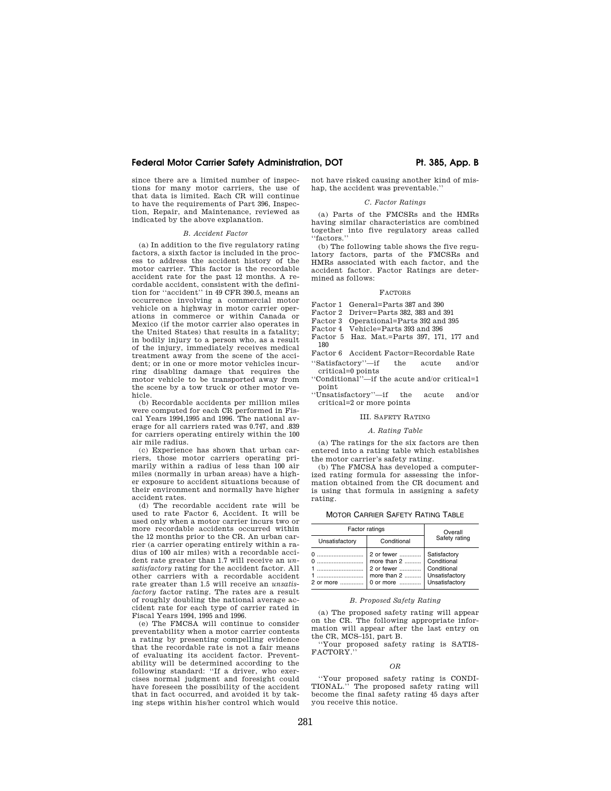# Federal Motor Carrier Safety Administration, DOT **Ph. 385, App. B**

since there are a limited number of inspections for many motor carriers, the use of that data is limited. Each CR will continue to have the requirements of Part 396, Inspection, Repair, and Maintenance, reviewed as indicated by the above explanation.

## *B. Accident Factor*

(a) In addition to the five regulatory rating factors, a sixth factor is included in the process to address the accident history of the motor carrier. This factor is the recordable accident rate for the past 12 months. A recordable accident, consistent with the definition for ''accident'' in 49 CFR 390.5, means an occurrence involving a commercial motor vehicle on a highway in motor carrier operations in commerce or within Canada or Mexico (if the motor carrier also operates in the United States) that results in a fatality; in bodily injury to a person who, as a result of the injury, immediately receives medical treatment away from the scene of the accident; or in one or more motor vehicles incurring disabling damage that requires the motor vehicle to be transported away from the scene by a tow truck or other motor vehicle.

(b) Recordable accidents per million miles were computed for each CR performed in Fiscal Years 1994,1995 and 1996. The national average for all carriers rated was 0.747, and .839 for carriers operating entirely within the 100 air mile radius.

(c) Experience has shown that urban carriers, those motor carriers operating primarily within a radius of less than 100 air miles (normally in urban areas) have a higher exposure to accident situations because of their environment and normally have higher accident rates.

(d) The recordable accident rate will be used to rate Factor 6, Accident. It will be used only when a motor carrier incurs two or more recordable accidents occurred within the 12 months prior to the CR. An urban carrier (a carrier operating entirely within a radius of 100 air miles) with a recordable accident rate greater than 1.7 will receive an *unsatisfactory* rating for the accident factor. All other carriers with a recordable accident rate greater than 1.5 will receive an *unsatisfactory* factor rating. The rates are a result of roughly doubling the national average accident rate for each type of carrier rated in Fiscal Years 1994, 1995 and 1996.

(e) The FMCSA will continue to consider preventability when a motor carrier contests a rating by presenting compelling evidence that the recordable rate is not a fair means of evaluating its accident factor. Preventability will be determined according to the following standard: ''If a driver, who exercises normal judgment and foresight could have foreseen the possibility of the accident that in fact occurred, and avoided it by taking steps within his/her control which would

not have risked causing another kind of mishap, the accident was preventable.''

## *C. Factor Ratings*

(a) Parts of the FMCSRs and the HMRs having similar characteristics are combined together into five regulatory areas called ''factors.''

(b) The following table shows the five regulatory factors, parts of the FMCSRs and HMRs associated with each factor, and the accident factor. Factor Ratings are determined as follows:

### FACTORS

- Factor 1 General=Parts 387 and 390
- Factor 2 Driver=Parts 382, 383 and 391
- 
- Factor 3 Operational=Parts 392 and 395<br>Factor 4 Vehicle=Parts 393 and 396 Vehicle=Parts 393 and 396
- Factor 5 Haz. Mat.=Parts 397, 171, 177 and
- 180 Factor 6 Accident Factor=Recordable Rate
- ''Satisfactory''—if the acute and/or critical=0 points
- ''Conditional''—if the acute and/or critical=1 point
- ''Unsatisfactory''—if the acute and/or critical=2 or more points

## III. SAFETY RATING

### *A. Rating Table*

(a) The ratings for the six factors are then entered into a rating table which establishes the motor carrier's safety rating.

(b) The FMCSA has developed a computerized rating formula for assessing the information obtained from the CR document and is using that formula in assigning a safety rating.

MOTOR CARRIER SAFETY RATING TABLE

| Factor ratings |                                                                         | Overall                                                                        |
|----------------|-------------------------------------------------------------------------|--------------------------------------------------------------------------------|
| Unsatisfactory | Conditional                                                             | Safety rating                                                                  |
| 2 or more      | 2 or fewer<br>more than $2$<br>2 or fewer<br>more than $2$<br>0 or more | Satisfactory<br>Conditional<br>Conditional<br>Unsatisfactory<br>Unsatisfactory |

## *B. Proposed Safety Rating*

(a) The proposed safety rating will appear on the CR. The following appropriate information will appear after the last entry on the CR, MCS–151, part B.

''Your proposed safety rating is SATIS-FACTORY.''

### *OR*

''Your proposed safety rating is CONDI-The proposed safety rating will become the final safety rating 45 days after you receive this notice.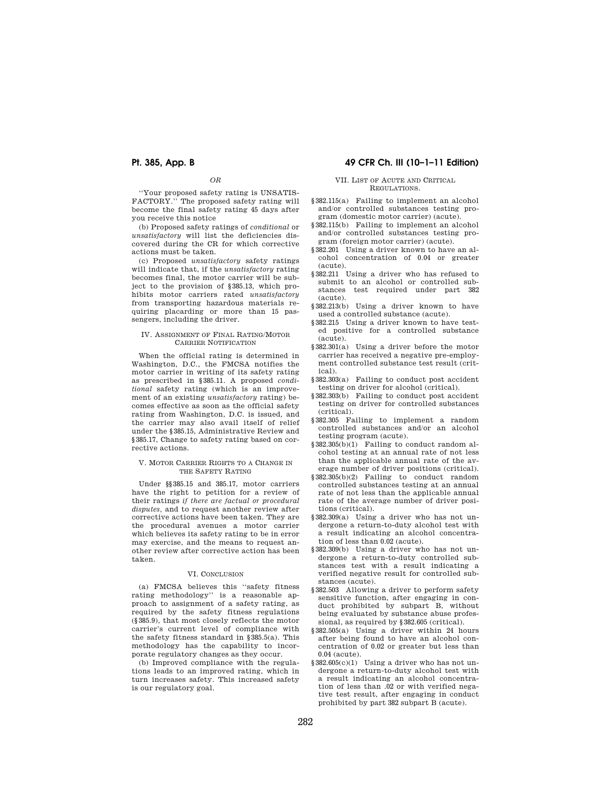*OR* 

''Your proposed safety rating is UNSATIS-FACTORY.'' The proposed safety rating will become the final safety rating 45 days after you receive this notice

(b) Proposed safety ratings of *conditional* or *unsatisfactory* will list the deficiencies discovered during the CR for which corrective actions must be taken.

(c) Proposed *unsatisfactory* safety ratings will indicate that, if the *unsatisfactory* rating becomes final, the motor carrier will be subject to the provision of §385.13, which prohibits motor carriers rated *unsatisfactory*  from transporting hazardous materials requiring placarding or more than 15 passengers, including the driver.

## IV. ASSIGNMENT OF FINAL RATING/MOTOR CARRIER NOTIFICATION

When the official rating is determined in Washington, D.C., the FMCSA notifies the motor carrier in writing of its safety rating as prescribed in §385.11. A proposed *conditional* safety rating (which is an improvement of an existing *unsatisfactory* rating) becomes effective as soon as the official safety rating from Washington, D.C. is issued, and the carrier may also avail itself of relief under the §385.15, Administrative Review and §385.17, Change to safety rating based on corrective actions.

## V. MOTOR CARRIER RIGHTS TO A CHANGE IN THE SAFETY RATING

Under §§385.15 and 385.17, motor carriers have the right to petition for a review of their ratings *if there are factual or procedural disputes,* and to request another review after corrective actions have been taken. They are the procedural avenues a motor carrier which believes its safety rating to be in error may exercise, and the means to request another review after corrective action has been taken.

## VI. CONCLUSION

(a) FMCSA believes this ''safety fitness rating methodology'' is a reasonable approach to assignment of a safety rating, as required by the safety fitness regulations (§385.9), that most closely reflects the motor carrier's current level of compliance with the safety fitness standard in §385.5(a). This methodology has the capability to incorporate regulatory changes as they occur.

(b) Improved compliance with the regulations leads to an improved rating, which in turn increases safety. This increased safety is our regulatory goal.

# **Pt. 385, App. B 49 CFR Ch. III (10–1–11 Edition)**

## VII. LIST OF ACUTE AND CRITICAL REGULATIONS.

- §382.115(a) Failing to implement an alcohol and/or controlled substances testing program (domestic motor carrier) (acute).
- §382.115(b) Failing to implement an alcohol and/or controlled substances testing program (foreign motor carrier) (acute).
- §382.201 Using a driver known to have an alcohol concentration of 0.04 or greater (acute).
- §382.211 Using a driver who has refused to submit to an alcohol or controlled substances test required under part 382 test required under part 382 (acute).
- §382.213(b) Using a driver known to have used a controlled substance (acute).
- §382.215 Using a driver known to have tested positive for a controlled substance (acute).
- §382.301(a) Using a driver before the motor carrier has received a negative pre-employment controlled substance test result (critical).
- §382.303(a) Failing to conduct post accident testing on driver for alcohol (critical).
- §382.303(b) Failing to conduct post accident testing on driver for controlled substances (critical).
- §382.305 Failing to implement a random controlled substances and/or an alcohol testing program (acute).
- §382.305(b)(1) Failing to conduct random alcohol testing at an annual rate of not less than the applicable annual rate of the average number of driver positions (critical).
- §382.305(b)(2) Failing to conduct random controlled substances testing at an annual rate of not less than the applicable annual rate of the average number of driver positions (critical).
- §382.309(a) Using a driver who has not undergone a return-to-duty alcohol test with a result indicating an alcohol concentration of less than 0.02 (acute).
- §382.309(b) Using a driver who has not undergone a return-to-duty controlled substances test with a result indicating a verified negative result for controlled substances (acute).
- §382.503 Allowing a driver to perform safety sensitive function, after engaging in conduct prohibited by subpart B, without being evaluated by substance abuse professional, as required by §382.605 (critical).
- §382.505(a) Using a driver within 24 hours after being found to have an alcohol concentration of 0.02 or greater but less than 0.04 (acute).
- $$382.605(c)(1)$  Using a driver who has not undergone a return-to-duty alcohol test with a result indicating an alcohol concentration of less than .02 or with verified negative test result, after engaging in conduct prohibited by part 382 subpart B (acute).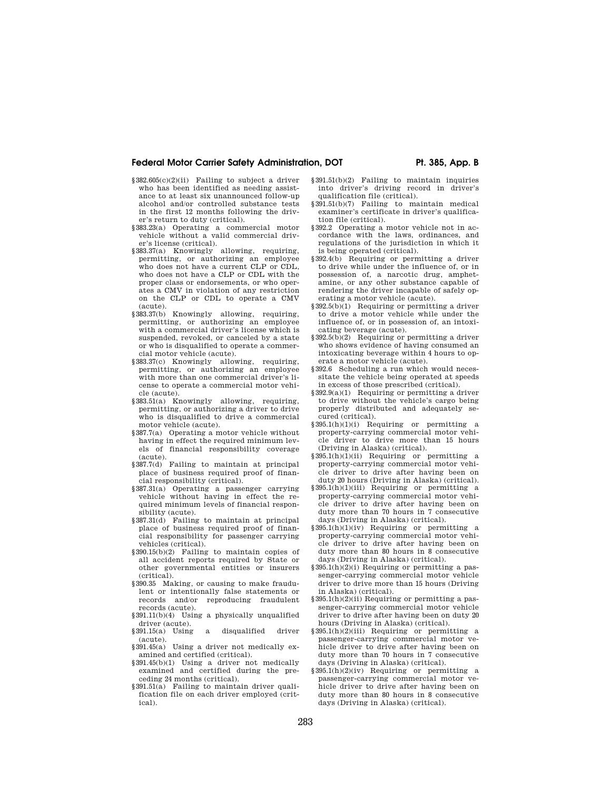# Federal Motor Carrier Safety Administration, DOT **Pr. 385, App. B**

- §382.605(c)(2)(ii) Failing to subject a driver who has been identified as needing assistance to at least six unannounced follow-up alcohol and/or controlled substance tests in the first 12 months following the driv-
- er's return to duty (critical). §383.23(a) Operating a commercial motor vehicle without a valid commercial driver's license (critical).
- §383.37(a) Knowingly allowing, requiring, permitting, or authorizing an employee who does not have a current CLP or CDL, who does not have a CLP or CDL with the proper class or endorsements, or who operates a CMV in violation of any restriction on the CLP or CDL to operate a CMV (acute).
- §383.37(b) Knowingly allowing, requiring, permitting, or authorizing an employee with a commercial driver's license which is suspended, revoked, or canceled by a state or who is disqualified to operate a commercial motor vehicle (acute).
- §383.37(c) Knowingly allowing, requiring, permitting, or authorizing an employee with more than one commercial driver's license to operate a commercial motor vehicle (acute).
- §383.51(a) Knowingly allowing, requiring, permitting, or authorizing a driver to drive who is disqualified to drive a commercial motor vehicle (acute).
- §387.7(a) Operating a motor vehicle without having in effect the required minimum levels of financial responsibility coverage (acute).
- §387.7(d) Failing to maintain at principal place of business required proof of financial responsibility (critical).
- §387.31(a) Operating a passenger carrying vehicle without having in effect the required minimum levels of financial responsibility (acute).
- §387.31(d) Failing to maintain at principal place of business required proof of financial responsibility for passenger carrying vehicles (critical).
- §390.15(b)(2) Failing to maintain copies of all accident reports required by State or other governmental entities or insurers (critical).
- §390.35 Making, or causing to make fraudulent or intentionally false statements or records and/or reproducing fraudulent records (acute).
- §391.11(b)(4) Using a physically unqualified driver (acute).
- §391.15(a) Using a disqualified driver (acute).
- §391.45(a) Using a driver not medically examined and certified (critical).
- §391.45(b)(1) Using a driver not medically examined and certified during the preceding 24 months (critical).
- §391.51(a) Failing to maintain driver qualification file on each driver employed (critical).
- §391.51(b)(2) Failing to maintain inquiries into driver's driving record in driver's qualification file (critical).
- §391.51(b)(7) Failing to maintain medical examiner's certificate in driver's qualification file (critical).
- §392.2 Operating a motor vehicle not in accordance with the laws, ordinances, and regulations of the jurisdiction in which it is being operated (critical).
- §392.4(b) Requiring or permitting a driver to drive while under the influence of, or in possession of, a narcotic drug, amphetamine, or any other substance capable of rendering the driver incapable of safely operating a motor vehicle (acute).
- §392.5(b)(1) Requiring or permitting a driver to drive a motor vehicle while under the influence of, or in possession of, an intoxicating beverage (acute).
- §392.5(b)(2) Requiring or permitting a driver who shows evidence of having consumed an intoxicating beverage within 4 hours to operate a motor vehicle (acute).
- §392.6 Scheduling a run which would necessitate the vehicle being operated at speeds in excess of those prescribed (critical).
- §392.9(a)(1) Requiring or permitting a driver to drive without the vehicle's cargo being properly distributed and adequately secured (critical).
- §395.1(h)(1)(i) Requiring or permitting a property-carrying commercial motor vehicle driver to drive more than 15 hours (Driving in Alaska) (critical).
- §395.1(h)(1)(ii) Requiring or permitting a property-carrying commercial motor vehicle driver to drive after having been on duty 20 hours (Driving in Alaska) (critical).
- §395.1(h)(1)(iii) Requiring or permitting a property-carrying commercial motor vehicle driver to drive after having been on duty more than 70 hours in 7 consecutive days (Driving in Alaska) (critical).
- $§395.1(h)(1)(iv)$  Requiring or permitting a property-carrying commercial motor vehicle driver to drive after having been on duty more than 80 hours in 8 consecutive days (Driving in Alaska) (critical).
- §395.1(h)(2)(i) Requiring or permitting a passenger-carrying commercial motor vehicle driver to drive more than 15 hours (Driving in Alaska) (critical).
- §395.1(h)(2)(ii) Requiring or permitting a passenger-carrying commercial motor vehicle driver to drive after having been on duty 20 hours (Driving in Alaska) (critical).
- §395.1(h)(2)(iii) Requiring or permitting a passenger-carrying commercial motor vehicle driver to drive after having been on duty more than 70 hours in 7 consecutive days (Driving in Alaska) (critical).
- §395.1(h)(2)(iv) Requiring or permitting a passenger-carrying commercial motor vehicle driver to drive after having been on duty more than 80 hours in 8 consecutive days (Driving in Alaska) (critical).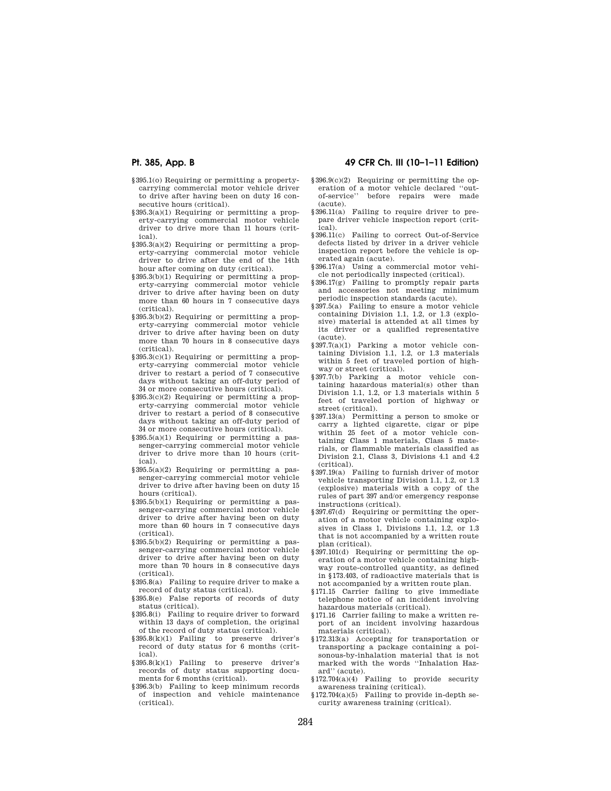- §395.1(o) Requiring or permitting a propertycarrying commercial motor vehicle driver to drive after having been on duty 16 consecutive hours (critical).
- §395.3(a)(1) Requiring or permitting a property-carrying commercial motor vehicle driver to drive more than 11 hours (critical).
- §395.3(a)(2) Requiring or permitting a property-carrying commercial motor vehicle driver to drive after the end of the 14th hour after coming on duty (critical).
- §395.3(b)(1) Requiring or permitting a property-carrying commercial motor vehicle driver to drive after having been on duty more than 60 hours in 7 consecutive days (critical).
- §395.3(b)(2) Requiring or permitting a property-carrying commercial motor vehicle driver to drive after having been on duty more than 70 hours in 8 consecutive days (critical).
- §395.3(c)(1) Requiring or permitting a property-carrying commercial motor vehicle driver to restart a period of 7 consecutive days without taking an off-duty period of 34 or more consecutive hours (critical).
- §395.3(c)(2) Requiring or permitting a property-carrying commercial motor vehicle driver to restart a period of 8 consecutive days without taking an off-duty period of 34 or more consecutive hours (critical).
- §395.5(a)(1) Requiring or permitting a passenger-carrying commercial motor vehicle driver to drive more than 10 hours (critical).
- §395.5(a)(2) Requiring or permitting a passenger-carrying commercial motor vehicle driver to drive after having been on duty 15 hours (critical).
- §395.5(b)(1) Requiring or permitting a passenger-carrying commercial motor vehicle driver to drive after having been on duty more than 60 hours in 7 consecutive days (critical).
- §395.5(b)(2) Requiring or permitting a passenger-carrying commercial motor vehicle driver to drive after having been on duty more than 70 hours in 8 consecutive days (critical).
- §395.8(a) Failing to require driver to make a record of duty status (critical).
- §395.8(e) False reports of records of duty status (critical).
- §395.8(i) Failing to require driver to forward within 13 days of completion, the original of the record of duty status (critical).
- §395.8(k)(1) Failing to preserve driver's record of duty status for 6 months (critical).
- $§ 395.8(k)(1)$  Failing to preserve driver's records of duty status supporting documents for 6 months (critical).
- §396.3(b) Failing to keep minimum records of inspection and vehicle maintenance (critical).

# **Pt. 385, App. B 49 CFR Ch. III (10–1–11 Edition)**

- §396.9(c)(2) Requiring or permitting the operation of a motor vehicle declared ''outof-service'' before repairs were made (acute).
- §396.11(a) Failing to require driver to prepare driver vehicle inspection report (critical).
- §396.11(c) Failing to correct Out-of-Service defects listed by driver in a driver vehicle inspection report before the vehicle is operated again (acute).
- §396.17(a) Using a commercial motor vehicle not periodically inspected (critical).
- §396.17(g) Failing to promptly repair parts and accessories not meeting minimum periodic inspection standards (acute).
- §397.5(a) Failing to ensure a motor vehicle containing Division 1.1, 1.2, or 1.3 (explosive) material is attended at all times by its driver or a qualified representative (acute).
- §397.7(a)(1) Parking a motor vehicle containing Division 1.1, 1.2, or 1.3 materials within 5 feet of traveled portion of highway or street (critical).
- §397.7(b) Parking a motor vehicle containing hazardous material(s) other than Division 1.1, 1.2, or 1.3 materials within 5 feet of traveled portion of highway or street (critical).
- §397.13(a) Permitting a person to smoke or carry a lighted cigarette, cigar or pipe within 25 feet of a motor vehicle containing Class 1 materials, Class 5 materials, or flammable materials classified as Division 2.1, Class 3, Divisions 4.1 and 4.2 (critical).
- §397.19(a) Failing to furnish driver of motor vehicle transporting Division 1.1, 1.2, or 1.3 (explosive) materials with a copy of the rules of part 397 and/or emergency response instructions (critical).
- §397.67(d) Requiring or permitting the operation of a motor vehicle containing explosives in Class 1, Divisions 1.1, 1.2, or 1.3 that is not accompanied by a written route plan (critical).
- §397.101(d) Requiring or permitting the operation of a motor vehicle containing highway route-controlled quantity, as defined in §173.403, of radioactive materials that is not accompanied by a written route plan.
- §171.15 Carrier failing to give immediate telephone notice of an incident involving hazardous materials (critical).
- §171.16 Carrier failing to make a written report of an incident involving hazardous materials (critical).
- §172.313(a) Accepting for transportation or transporting a package containing a poisonous-by-inhalation material that is not marked with the words ''Inhalation Hazard'' (acute).
- §172.704(a)(4) Failing to provide security awareness training (critical).
- §172.704(a)(5) Failing to provide in-depth security awareness training (critical).